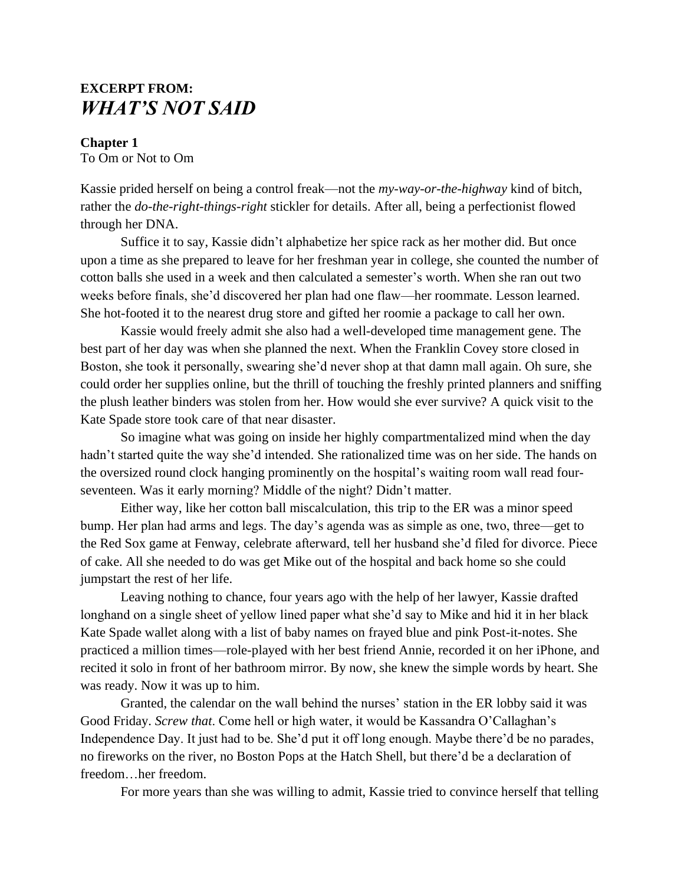# **EXCERPT FROM:** *WHAT'S NOT SAID*

### **Chapter 1**

To Om or Not to Om

Kassie prided herself on being a control freak—not the *my-way-or-the-highway* kind of bitch, rather the *do-the-right-things-right* stickler for details. After all, being a perfectionist flowed through her DNA.

Suffice it to say, Kassie didn't alphabetize her spice rack as her mother did. But once upon a time as she prepared to leave for her freshman year in college, she counted the number of cotton balls she used in a week and then calculated a semester's worth. When she ran out two weeks before finals, she'd discovered her plan had one flaw—her roommate. Lesson learned. She hot-footed it to the nearest drug store and gifted her roomie a package to call her own.

Kassie would freely admit she also had a well-developed time management gene. The best part of her day was when she planned the next. When the Franklin Covey store closed in Boston, she took it personally, swearing she'd never shop at that damn mall again. Oh sure, she could order her supplies online, but the thrill of touching the freshly printed planners and sniffing the plush leather binders was stolen from her. How would she ever survive? A quick visit to the Kate Spade store took care of that near disaster.

So imagine what was going on inside her highly compartmentalized mind when the day hadn't started quite the way she'd intended. She rationalized time was on her side. The hands on the oversized round clock hanging prominently on the hospital's waiting room wall read fourseventeen. Was it early morning? Middle of the night? Didn't matter.

Either way, like her cotton ball miscalculation, this trip to the ER was a minor speed bump. Her plan had arms and legs. The day's agenda was as simple as one, two, three—get to the Red Sox game at Fenway, celebrate afterward, tell her husband she'd filed for divorce. Piece of cake. All she needed to do was get Mike out of the hospital and back home so she could jumpstart the rest of her life.

Leaving nothing to chance, four years ago with the help of her lawyer, Kassie drafted longhand on a single sheet of yellow lined paper what she'd say to Mike and hid it in her black Kate Spade wallet along with a list of baby names on frayed blue and pink Post-it-notes. She practiced a million times—role-played with her best friend Annie, recorded it on her iPhone, and recited it solo in front of her bathroom mirror. By now, she knew the simple words by heart. She was ready. Now it was up to him.

Granted, the calendar on the wall behind the nurses' station in the ER lobby said it was Good Friday. *Screw that*. Come hell or high water, it would be Kassandra O'Callaghan's Independence Day. It just had to be. She'd put it off long enough. Maybe there'd be no parades, no fireworks on the river, no Boston Pops at the Hatch Shell, but there'd be a declaration of freedom…her freedom.

For more years than she was willing to admit, Kassie tried to convince herself that telling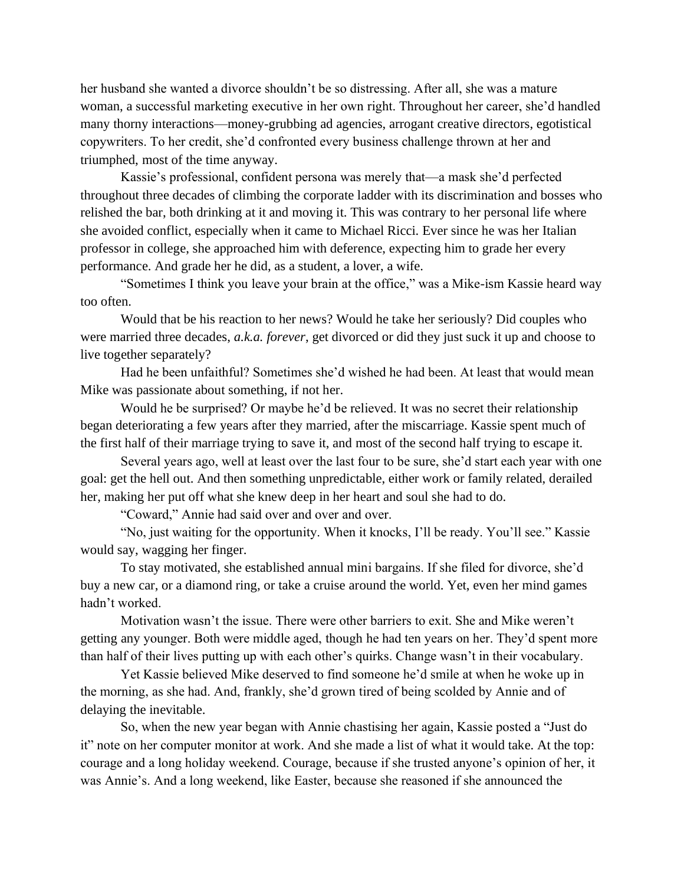her husband she wanted a divorce shouldn't be so distressing. After all, she was a mature woman, a successful marketing executive in her own right. Throughout her career, she'd handled many thorny interactions—money-grubbing ad agencies, arrogant creative directors, egotistical copywriters. To her credit, she'd confronted every business challenge thrown at her and triumphed, most of the time anyway.

Kassie's professional, confident persona was merely that—a mask she'd perfected throughout three decades of climbing the corporate ladder with its discrimination and bosses who relished the bar, both drinking at it and moving it. This was contrary to her personal life where she avoided conflict, especially when it came to Michael Ricci. Ever since he was her Italian professor in college, she approached him with deference, expecting him to grade her every performance. And grade her he did, as a student, a lover, a wife.

"Sometimes I think you leave your brain at the office," was a Mike-ism Kassie heard way too often.

Would that be his reaction to her news? Would he take her seriously? Did couples who were married three decades, *a.k.a. forever*, get divorced or did they just suck it up and choose to live together separately?

Had he been unfaithful? Sometimes she'd wished he had been. At least that would mean Mike was passionate about something, if not her.

Would he be surprised? Or maybe he'd be relieved. It was no secret their relationship began deteriorating a few years after they married, after the miscarriage. Kassie spent much of the first half of their marriage trying to save it, and most of the second half trying to escape it.

Several years ago, well at least over the last four to be sure, she'd start each year with one goal: get the hell out. And then something unpredictable, either work or family related, derailed her, making her put off what she knew deep in her heart and soul she had to do.

"Coward," Annie had said over and over and over.

"No, just waiting for the opportunity. When it knocks, I'll be ready. You'll see." Kassie would say, wagging her finger.

To stay motivated, she established annual mini bargains. If she filed for divorce, she'd buy a new car, or a diamond ring, or take a cruise around the world. Yet, even her mind games hadn't worked.

Motivation wasn't the issue. There were other barriers to exit. She and Mike weren't getting any younger. Both were middle aged, though he had ten years on her. They'd spent more than half of their lives putting up with each other's quirks. Change wasn't in their vocabulary.

Yet Kassie believed Mike deserved to find someone he'd smile at when he woke up in the morning, as she had. And, frankly, she'd grown tired of being scolded by Annie and of delaying the inevitable.

So, when the new year began with Annie chastising her again, Kassie posted a "Just do it" note on her computer monitor at work. And she made a list of what it would take. At the top: courage and a long holiday weekend. Courage, because if she trusted anyone's opinion of her, it was Annie's. And a long weekend, like Easter, because she reasoned if she announced the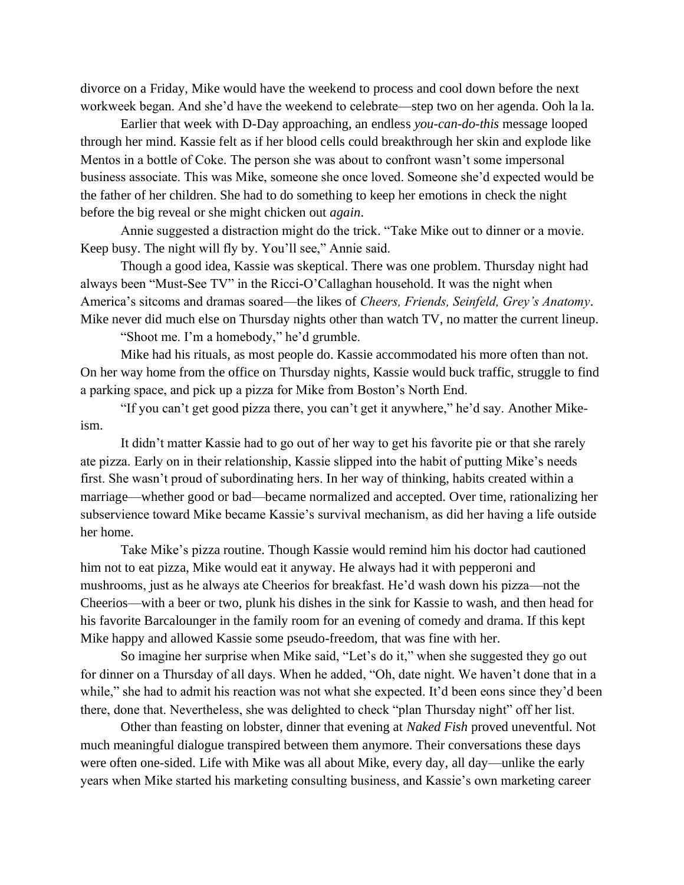divorce on a Friday, Mike would have the weekend to process and cool down before the next workweek began. And she'd have the weekend to celebrate—step two on her agenda. Ooh la la.

Earlier that week with D-Day approaching, an endless *you-can-do-this* message looped through her mind. Kassie felt as if her blood cells could breakthrough her skin and explode like Mentos in a bottle of Coke. The person she was about to confront wasn't some impersonal business associate. This was Mike, someone she once loved. Someone she'd expected would be the father of her children. She had to do something to keep her emotions in check the night before the big reveal or she might chicken out *again*.

Annie suggested a distraction might do the trick. "Take Mike out to dinner or a movie. Keep busy. The night will fly by. You'll see," Annie said.

Though a good idea, Kassie was skeptical. There was one problem. Thursday night had always been "Must-See TV" in the Ricci-O'Callaghan household. It was the night when America's sitcoms and dramas soared—the likes of *Cheers, Friends, Seinfeld, Grey's Anatomy*. Mike never did much else on Thursday nights other than watch TV, no matter the current lineup.

"Shoot me. I'm a homebody," he'd grumble.

Mike had his rituals, as most people do. Kassie accommodated his more often than not. On her way home from the office on Thursday nights, Kassie would buck traffic, struggle to find a parking space, and pick up a pizza for Mike from Boston's North End.

"If you can't get good pizza there, you can't get it anywhere," he'd say. Another Mikeism.

It didn't matter Kassie had to go out of her way to get his favorite pie or that she rarely ate pizza. Early on in their relationship, Kassie slipped into the habit of putting Mike's needs first. She wasn't proud of subordinating hers. In her way of thinking, habits created within a marriage—whether good or bad—became normalized and accepted. Over time, rationalizing her subservience toward Mike became Kassie's survival mechanism, as did her having a life outside her home.

Take Mike's pizza routine. Though Kassie would remind him his doctor had cautioned him not to eat pizza, Mike would eat it anyway. He always had it with pepperoni and mushrooms, just as he always ate Cheerios for breakfast. He'd wash down his pizza—not the Cheerios—with a beer or two, plunk his dishes in the sink for Kassie to wash, and then head for his favorite Barcalounger in the family room for an evening of comedy and drama. If this kept Mike happy and allowed Kassie some pseudo-freedom, that was fine with her.

So imagine her surprise when Mike said, "Let's do it," when she suggested they go out for dinner on a Thursday of all days. When he added, "Oh, date night. We haven't done that in a while," she had to admit his reaction was not what she expected. It'd been eons since they'd been there, done that. Nevertheless, she was delighted to check "plan Thursday night" off her list.

Other than feasting on lobster, dinner that evening at *Naked Fish* proved uneventful. Not much meaningful dialogue transpired between them anymore. Their conversations these days were often one-sided. Life with Mike was all about Mike, every day, all day—unlike the early years when Mike started his marketing consulting business, and Kassie's own marketing career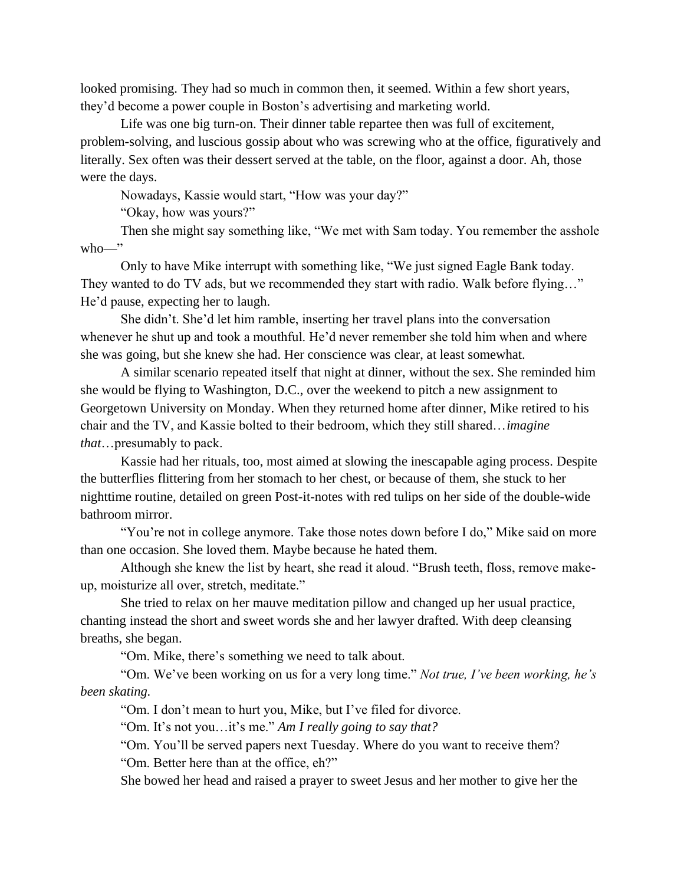looked promising. They had so much in common then, it seemed. Within a few short years, they'd become a power couple in Boston's advertising and marketing world.

Life was one big turn-on. Their dinner table repartee then was full of excitement, problem-solving, and luscious gossip about who was screwing who at the office, figuratively and literally. Sex often was their dessert served at the table, on the floor, against a door. Ah, those were the days.

Nowadays, Kassie would start, "How was your day?"

"Okay, how was yours?"

Then she might say something like, "We met with Sam today. You remember the asshole who-"

Only to have Mike interrupt with something like, "We just signed Eagle Bank today. They wanted to do TV ads, but we recommended they start with radio. Walk before flying..." He'd pause, expecting her to laugh.

She didn't. She'd let him ramble, inserting her travel plans into the conversation whenever he shut up and took a mouthful. He'd never remember she told him when and where she was going, but she knew she had. Her conscience was clear, at least somewhat.

A similar scenario repeated itself that night at dinner, without the sex. She reminded him she would be flying to Washington, D.C., over the weekend to pitch a new assignment to Georgetown University on Monday. When they returned home after dinner, Mike retired to his chair and the TV, and Kassie bolted to their bedroom, which they still shared…*imagine that*…presumably to pack.

Kassie had her rituals, too, most aimed at slowing the inescapable aging process. Despite the butterflies flittering from her stomach to her chest, or because of them, she stuck to her nighttime routine, detailed on green Post-it-notes with red tulips on her side of the double-wide bathroom mirror.

"You're not in college anymore. Take those notes down before I do," Mike said on more than one occasion. She loved them. Maybe because he hated them.

Although she knew the list by heart, she read it aloud. "Brush teeth, floss, remove makeup, moisturize all over, stretch, meditate."

She tried to relax on her mauve meditation pillow and changed up her usual practice, chanting instead the short and sweet words she and her lawyer drafted. With deep cleansing breaths, she began.

"Om. Mike, there's something we need to talk about.

"Om. We've been working on us for a very long time." *Not true, I've been working, he's been skating.*

"Om. I don't mean to hurt you, Mike, but I've filed for divorce.

"Om. It's not you…it's me." *Am I really going to say that?*

"Om. You'll be served papers next Tuesday. Where do you want to receive them?

"Om. Better here than at the office, eh?"

She bowed her head and raised a prayer to sweet Jesus and her mother to give her the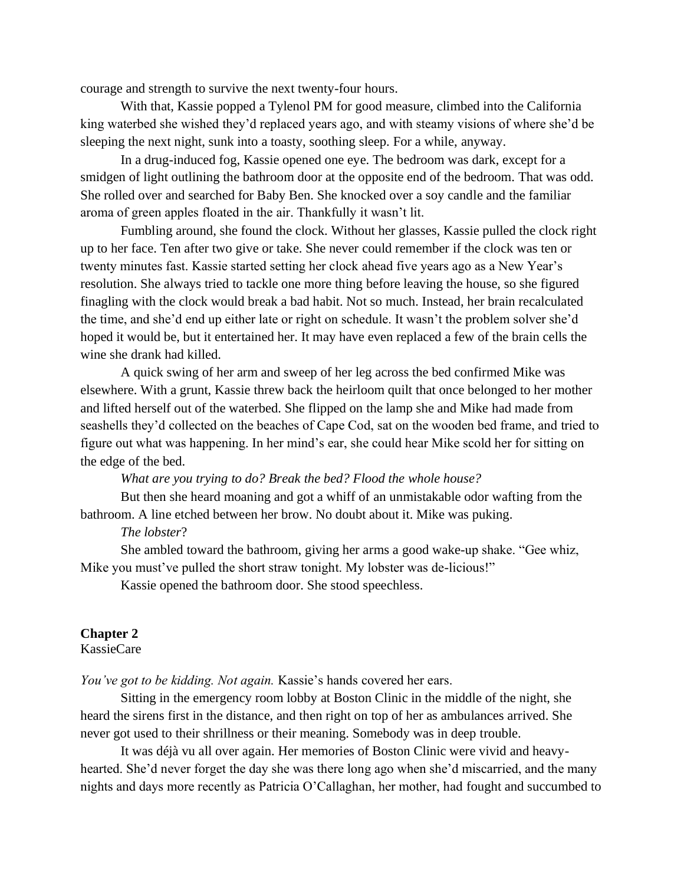courage and strength to survive the next twenty-four hours.

With that, Kassie popped a Tylenol PM for good measure, climbed into the California king waterbed she wished they'd replaced years ago, and with steamy visions of where she'd be sleeping the next night, sunk into a toasty, soothing sleep. For a while, anyway.

In a drug-induced fog, Kassie opened one eye. The bedroom was dark, except for a smidgen of light outlining the bathroom door at the opposite end of the bedroom. That was odd. She rolled over and searched for Baby Ben. She knocked over a soy candle and the familiar aroma of green apples floated in the air. Thankfully it wasn't lit.

Fumbling around, she found the clock. Without her glasses, Kassie pulled the clock right up to her face. Ten after two give or take. She never could remember if the clock was ten or twenty minutes fast. Kassie started setting her clock ahead five years ago as a New Year's resolution. She always tried to tackle one more thing before leaving the house, so she figured finagling with the clock would break a bad habit. Not so much. Instead, her brain recalculated the time, and she'd end up either late or right on schedule. It wasn't the problem solver she'd hoped it would be, but it entertained her. It may have even replaced a few of the brain cells the wine she drank had killed.

A quick swing of her arm and sweep of her leg across the bed confirmed Mike was elsewhere. With a grunt, Kassie threw back the heirloom quilt that once belonged to her mother and lifted herself out of the waterbed. She flipped on the lamp she and Mike had made from seashells they'd collected on the beaches of Cape Cod, sat on the wooden bed frame, and tried to figure out what was happening. In her mind's ear, she could hear Mike scold her for sitting on the edge of the bed.

*What are you trying to do? Break the bed? Flood the whole house?*

But then she heard moaning and got a whiff of an unmistakable odor wafting from the bathroom. A line etched between her brow. No doubt about it. Mike was puking.

#### *The lobster*?

She ambled toward the bathroom, giving her arms a good wake-up shake. "Gee whiz, Mike you must've pulled the short straw tonight. My lobster was de-licious!"

Kassie opened the bathroom door. She stood speechless.

## **Chapter 2**

KassieCare

*You've got to be kidding. Not again.* Kassie's hands covered her ears.

Sitting in the emergency room lobby at Boston Clinic in the middle of the night, she heard the sirens first in the distance, and then right on top of her as ambulances arrived. She never got used to their shrillness or their meaning. Somebody was in deep trouble.

It was déjà vu all over again. Her memories of Boston Clinic were vivid and heavyhearted. She'd never forget the day she was there long ago when she'd miscarried, and the many nights and days more recently as Patricia O'Callaghan, her mother, had fought and succumbed to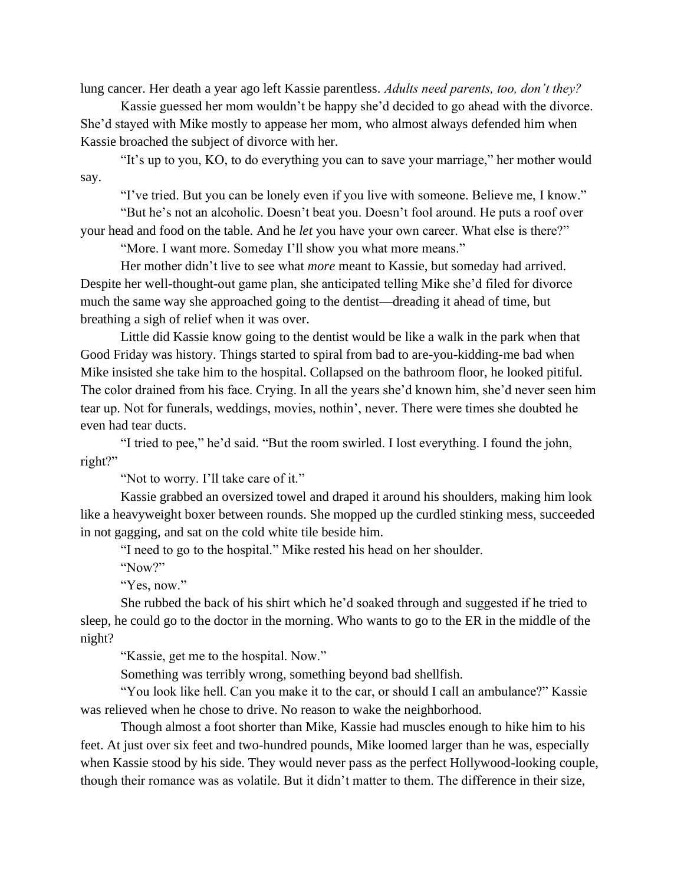lung cancer. Her death a year ago left Kassie parentless. *Adults need parents, too, don't they?*

Kassie guessed her mom wouldn't be happy she'd decided to go ahead with the divorce. She'd stayed with Mike mostly to appease her mom, who almost always defended him when Kassie broached the subject of divorce with her.

"It's up to you, KO, to do everything you can to save your marriage," her mother would say.

"I've tried. But you can be lonely even if you live with someone. Believe me, I know."

"But he's not an alcoholic. Doesn't beat you. Doesn't fool around. He puts a roof over your head and food on the table. And he *let* you have your own career. What else is there?"

"More. I want more. Someday I'll show you what more means."

Her mother didn't live to see what *more* meant to Kassie, but someday had arrived. Despite her well-thought-out game plan, she anticipated telling Mike she'd filed for divorce much the same way she approached going to the dentist—dreading it ahead of time, but breathing a sigh of relief when it was over.

Little did Kassie know going to the dentist would be like a walk in the park when that Good Friday was history. Things started to spiral from bad to are-you-kidding-me bad when Mike insisted she take him to the hospital. Collapsed on the bathroom floor, he looked pitiful. The color drained from his face. Crying. In all the years she'd known him, she'd never seen him tear up. Not for funerals, weddings, movies, nothin', never. There were times she doubted he even had tear ducts.

"I tried to pee," he'd said. "But the room swirled. I lost everything. I found the john, right?"

"Not to worry. I'll take care of it."

Kassie grabbed an oversized towel and draped it around his shoulders, making him look like a heavyweight boxer between rounds. She mopped up the curdled stinking mess, succeeded in not gagging, and sat on the cold white tile beside him.

"I need to go to the hospital." Mike rested his head on her shoulder.

"Now?"

"Yes, now."

She rubbed the back of his shirt which he'd soaked through and suggested if he tried to sleep, he could go to the doctor in the morning. Who wants to go to the ER in the middle of the night?

"Kassie, get me to the hospital. Now."

Something was terribly wrong, something beyond bad shellfish.

"You look like hell. Can you make it to the car, or should I call an ambulance?" Kassie was relieved when he chose to drive. No reason to wake the neighborhood.

Though almost a foot shorter than Mike, Kassie had muscles enough to hike him to his feet. At just over six feet and two-hundred pounds, Mike loomed larger than he was, especially when Kassie stood by his side. They would never pass as the perfect Hollywood-looking couple, though their romance was as volatile. But it didn't matter to them. The difference in their size,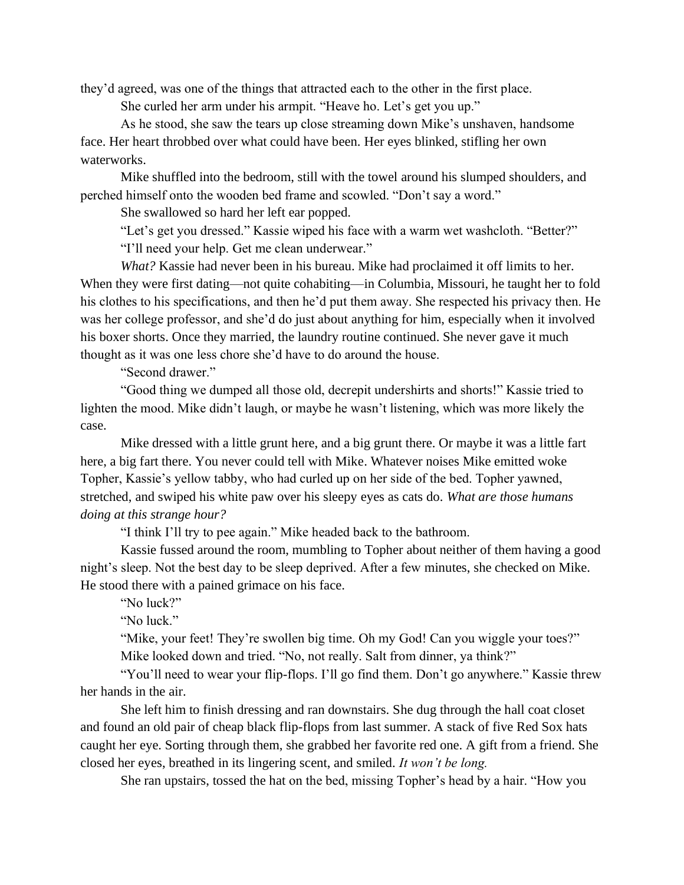they'd agreed, was one of the things that attracted each to the other in the first place.

She curled her arm under his armpit. "Heave ho. Let's get you up."

As he stood, she saw the tears up close streaming down Mike's unshaven, handsome face. Her heart throbbed over what could have been. Her eyes blinked, stifling her own waterworks.

Mike shuffled into the bedroom, still with the towel around his slumped shoulders, and perched himself onto the wooden bed frame and scowled. "Don't say a word."

She swallowed so hard her left ear popped.

"Let's get you dressed." Kassie wiped his face with a warm wet washcloth. "Better?" "I'll need your help. Get me clean underwear."

*What?* Kassie had never been in his bureau. Mike had proclaimed it off limits to her. When they were first dating—not quite cohabiting—in Columbia, Missouri, he taught her to fold his clothes to his specifications, and then he'd put them away. She respected his privacy then. He was her college professor, and she'd do just about anything for him, especially when it involved his boxer shorts. Once they married, the laundry routine continued. She never gave it much thought as it was one less chore she'd have to do around the house.

"Second drawer."

"Good thing we dumped all those old, decrepit undershirts and shorts!" Kassie tried to lighten the mood. Mike didn't laugh, or maybe he wasn't listening, which was more likely the case.

Mike dressed with a little grunt here, and a big grunt there. Or maybe it was a little fart here, a big fart there. You never could tell with Mike. Whatever noises Mike emitted woke Topher, Kassie's yellow tabby, who had curled up on her side of the bed. Topher yawned, stretched, and swiped his white paw over his sleepy eyes as cats do. *What are those humans doing at this strange hour?* 

"I think I'll try to pee again." Mike headed back to the bathroom.

Kassie fussed around the room, mumbling to Topher about neither of them having a good night's sleep. Not the best day to be sleep deprived. After a few minutes, she checked on Mike. He stood there with a pained grimace on his face.

"No luck?"

"No luck."

"Mike, your feet! They're swollen big time. Oh my God! Can you wiggle your toes?" Mike looked down and tried. "No, not really. Salt from dinner, ya think?"

"You'll need to wear your flip-flops. I'll go find them. Don't go anywhere." Kassie threw her hands in the air.

She left him to finish dressing and ran downstairs. She dug through the hall coat closet and found an old pair of cheap black flip-flops from last summer. A stack of five Red Sox hats caught her eye. Sorting through them, she grabbed her favorite red one. A gift from a friend. She closed her eyes, breathed in its lingering scent, and smiled. *It won't be long.*

She ran upstairs, tossed the hat on the bed, missing Topher's head by a hair. "How you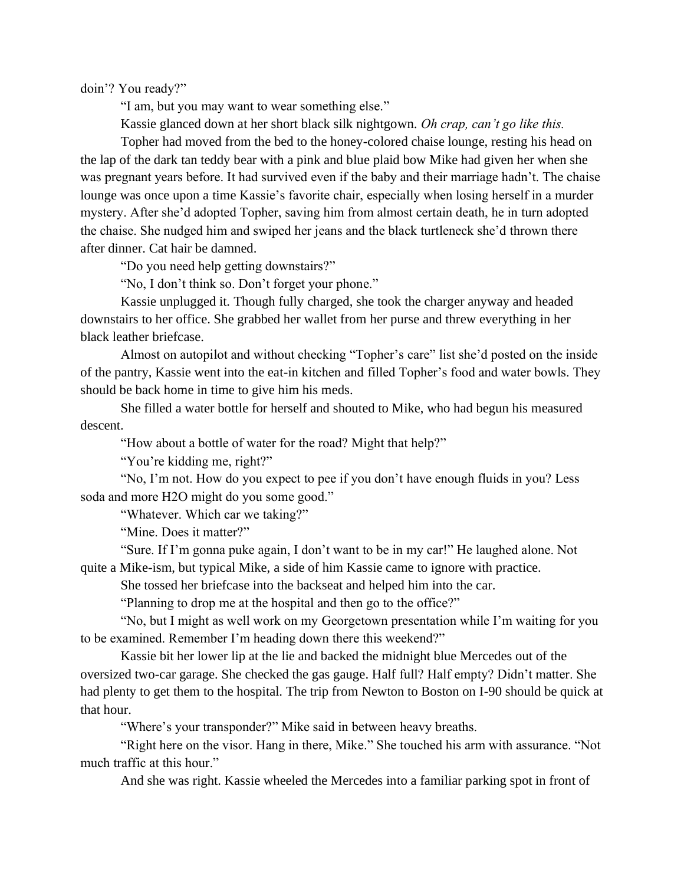doin'? You ready?"

"I am, but you may want to wear something else."

Kassie glanced down at her short black silk nightgown. *Oh crap, can't go like this.*

Topher had moved from the bed to the honey-colored chaise lounge, resting his head on the lap of the dark tan teddy bear with a pink and blue plaid bow Mike had given her when she was pregnant years before. It had survived even if the baby and their marriage hadn't. The chaise lounge was once upon a time Kassie's favorite chair, especially when losing herself in a murder mystery. After she'd adopted Topher, saving him from almost certain death, he in turn adopted the chaise. She nudged him and swiped her jeans and the black turtleneck she'd thrown there after dinner. Cat hair be damned.

"Do you need help getting downstairs?"

"No, I don't think so. Don't forget your phone."

Kassie unplugged it. Though fully charged, she took the charger anyway and headed downstairs to her office. She grabbed her wallet from her purse and threw everything in her black leather briefcase.

Almost on autopilot and without checking "Topher's care" list she'd posted on the inside of the pantry, Kassie went into the eat-in kitchen and filled Topher's food and water bowls. They should be back home in time to give him his meds.

She filled a water bottle for herself and shouted to Mike, who had begun his measured descent.

"How about a bottle of water for the road? Might that help?"

"You're kidding me, right?"

"No, I'm not. How do you expect to pee if you don't have enough fluids in you? Less soda and more H2O might do you some good."

"Whatever. Which car we taking?"

"Mine. Does it matter?"

"Sure. If I'm gonna puke again, I don't want to be in my car!" He laughed alone. Not quite a Mike-ism, but typical Mike, a side of him Kassie came to ignore with practice.

She tossed her briefcase into the backseat and helped him into the car.

"Planning to drop me at the hospital and then go to the office?"

"No, but I might as well work on my Georgetown presentation while I'm waiting for you to be examined. Remember I'm heading down there this weekend?"

Kassie bit her lower lip at the lie and backed the midnight blue Mercedes out of the oversized two-car garage. She checked the gas gauge. Half full? Half empty? Didn't matter. She had plenty to get them to the hospital. The trip from Newton to Boston on I-90 should be quick at that hour.

"Where's your transponder?" Mike said in between heavy breaths.

"Right here on the visor. Hang in there, Mike." She touched his arm with assurance. "Not much traffic at this hour."

And she was right. Kassie wheeled the Mercedes into a familiar parking spot in front of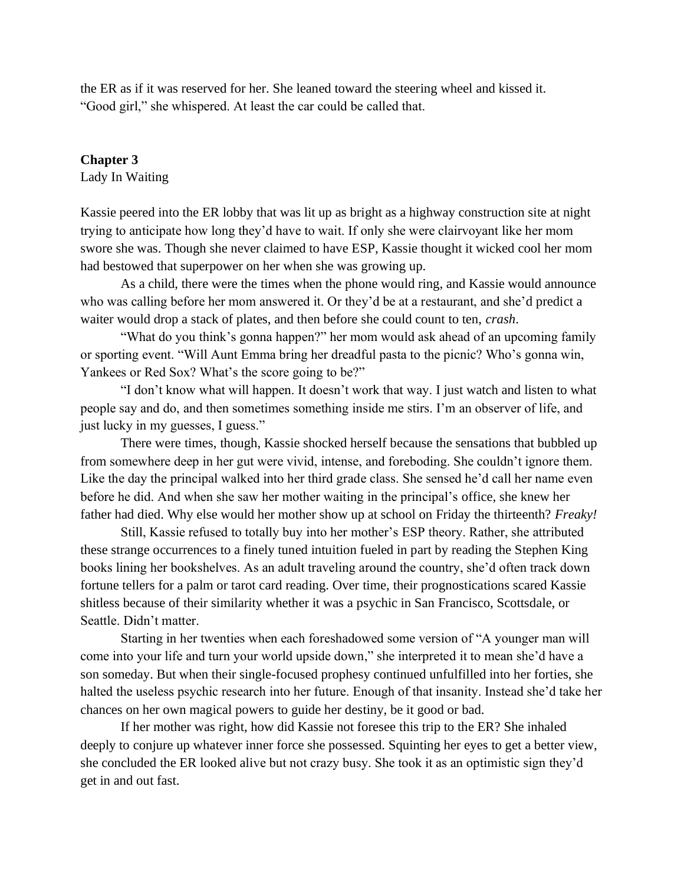the ER as if it was reserved for her. She leaned toward the steering wheel and kissed it. "Good girl," she whispered. At least the car could be called that.

#### **Chapter 3**

Lady In Waiting

Kassie peered into the ER lobby that was lit up as bright as a highway construction site at night trying to anticipate how long they'd have to wait. If only she were clairvoyant like her mom swore she was. Though she never claimed to have ESP, Kassie thought it wicked cool her mom had bestowed that superpower on her when she was growing up.

As a child, there were the times when the phone would ring, and Kassie would announce who was calling before her mom answered it. Or they'd be at a restaurant, and she'd predict a waiter would drop a stack of plates, and then before she could count to ten, *crash*.

"What do you think's gonna happen?" her mom would ask ahead of an upcoming family or sporting event. "Will Aunt Emma bring her dreadful pasta to the picnic? Who's gonna win, Yankees or Red Sox? What's the score going to be?"

"I don't know what will happen. It doesn't work that way. I just watch and listen to what people say and do, and then sometimes something inside me stirs. I'm an observer of life, and just lucky in my guesses, I guess."

There were times, though, Kassie shocked herself because the sensations that bubbled up from somewhere deep in her gut were vivid, intense, and foreboding. She couldn't ignore them. Like the day the principal walked into her third grade class. She sensed he'd call her name even before he did. And when she saw her mother waiting in the principal's office, she knew her father had died. Why else would her mother show up at school on Friday the thirteenth? *Freaky!*

Still, Kassie refused to totally buy into her mother's ESP theory. Rather, she attributed these strange occurrences to a finely tuned intuition fueled in part by reading the Stephen King books lining her bookshelves. As an adult traveling around the country, she'd often track down fortune tellers for a palm or tarot card reading. Over time, their prognostications scared Kassie shitless because of their similarity whether it was a psychic in San Francisco, Scottsdale, or Seattle. Didn't matter.

Starting in her twenties when each foreshadowed some version of "A younger man will come into your life and turn your world upside down," she interpreted it to mean she'd have a son someday. But when their single-focused prophesy continued unfulfilled into her forties, she halted the useless psychic research into her future. Enough of that insanity. Instead she'd take her chances on her own magical powers to guide her destiny, be it good or bad.

If her mother was right, how did Kassie not foresee this trip to the ER? She inhaled deeply to conjure up whatever inner force she possessed. Squinting her eyes to get a better view, she concluded the ER looked alive but not crazy busy. She took it as an optimistic sign they'd get in and out fast.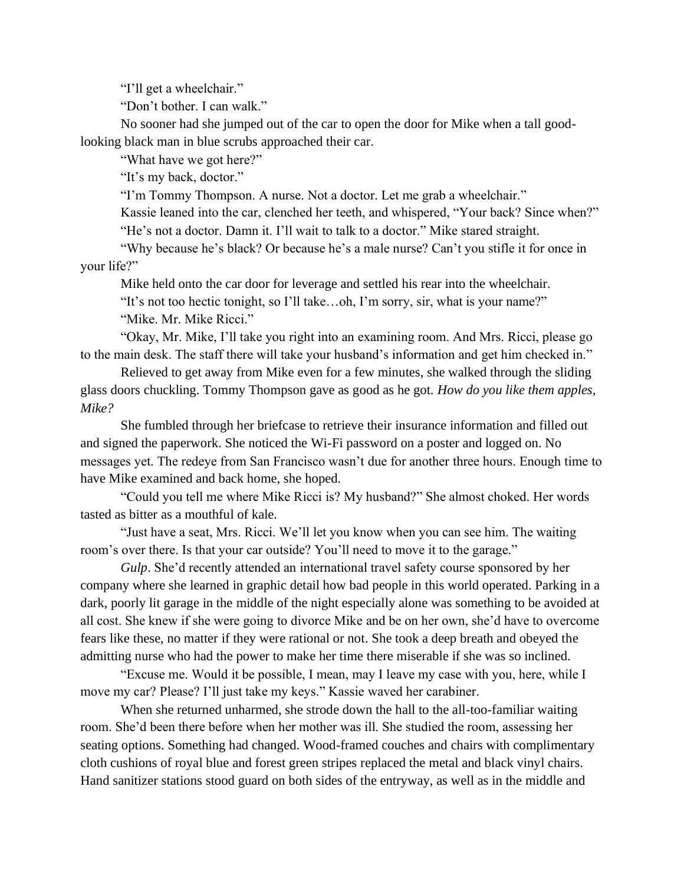"I'll get a wheelchair."

"Don't bother. I can walk."

No sooner had she jumped out of the car to open the door for Mike when a tall goodlooking black man in blue scrubs approached their car.

"What have we got here?"

"It's my back, doctor."

"I'm Tommy Thompson. A nurse. Not a doctor. Let me grab a wheelchair."

Kassie leaned into the car, clenched her teeth, and whispered, "Your back? Since when?" "He's not a doctor. Damn it. I'll wait to talk to a doctor." Mike stared straight.

"Why because he's black? Or because he's a male nurse? Can't you stifle it for once in

your life?"

Mike held onto the car door for leverage and settled his rear into the wheelchair.

"It's not too hectic tonight, so I'll take…oh, I'm sorry, sir, what is your name?" "Mike. Mr. Mike Ricci."

"Okay, Mr. Mike, I'll take you right into an examining room. And Mrs. Ricci, please go to the main desk. The staff there will take your husband's information and get him checked in."

Relieved to get away from Mike even for a few minutes, she walked through the sliding glass doors chuckling. Tommy Thompson gave as good as he got. *How do you like them apples, Mike?*

She fumbled through her briefcase to retrieve their insurance information and filled out and signed the paperwork. She noticed the Wi-Fi password on a poster and logged on. No messages yet. The redeye from San Francisco wasn't due for another three hours. Enough time to have Mike examined and back home, she hoped.

"Could you tell me where Mike Ricci is? My husband?" She almost choked. Her words tasted as bitter as a mouthful of kale.

"Just have a seat, Mrs. Ricci. We'll let you know when you can see him. The waiting room's over there. Is that your car outside? You'll need to move it to the garage."

*Gulp*. She'd recently attended an international travel safety course sponsored by her company where she learned in graphic detail how bad people in this world operated. Parking in a dark, poorly lit garage in the middle of the night especially alone was something to be avoided at all cost. She knew if she were going to divorce Mike and be on her own, she'd have to overcome fears like these, no matter if they were rational or not. She took a deep breath and obeyed the admitting nurse who had the power to make her time there miserable if she was so inclined.

"Excuse me. Would it be possible, I mean, may I leave my case with you, here, while I move my car? Please? I'll just take my keys." Kassie waved her carabiner.

When she returned unharmed, she strode down the hall to the all-too-familiar waiting room. She'd been there before when her mother was ill. She studied the room, assessing her seating options. Something had changed. Wood-framed couches and chairs with complimentary cloth cushions of royal blue and forest green stripes replaced the metal and black vinyl chairs. Hand sanitizer stations stood guard on both sides of the entryway, as well as in the middle and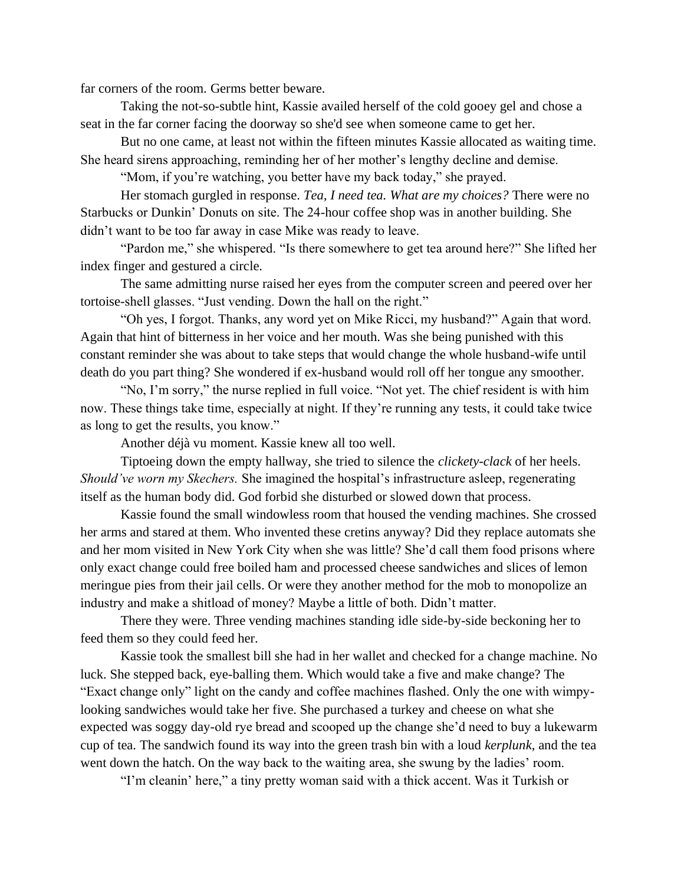far corners of the room. Germs better beware.

Taking the not-so-subtle hint, Kassie availed herself of the cold gooey gel and chose a seat in the far corner facing the doorway so she'd see when someone came to get her.

But no one came, at least not within the fifteen minutes Kassie allocated as waiting time. She heard sirens approaching, reminding her of her mother's lengthy decline and demise.

"Mom, if you're watching, you better have my back today," she prayed.

Her stomach gurgled in response. *Tea, I need tea. What are my choices?* There were no Starbucks or Dunkin' Donuts on site. The 24-hour coffee shop was in another building. She didn't want to be too far away in case Mike was ready to leave.

"Pardon me," she whispered. "Is there somewhere to get tea around here?" She lifted her index finger and gestured a circle.

The same admitting nurse raised her eyes from the computer screen and peered over her tortoise-shell glasses. "Just vending. Down the hall on the right."

"Oh yes, I forgot. Thanks, any word yet on Mike Ricci, my husband?" Again that word. Again that hint of bitterness in her voice and her mouth. Was she being punished with this constant reminder she was about to take steps that would change the whole husband-wife until death do you part thing? She wondered if ex-husband would roll off her tongue any smoother.

"No, I'm sorry," the nurse replied in full voice. "Not yet. The chief resident is with him now. These things take time, especially at night. If they're running any tests, it could take twice as long to get the results, you know."

Another déjà vu moment. Kassie knew all too well.

Tiptoeing down the empty hallway, she tried to silence the *clickety-clack* of her heels. *Should've worn my Skechers.* She imagined the hospital's infrastructure asleep, regenerating itself as the human body did. God forbid she disturbed or slowed down that process.

Kassie found the small windowless room that housed the vending machines. She crossed her arms and stared at them. Who invented these cretins anyway? Did they replace automats she and her mom visited in New York City when she was little? She'd call them food prisons where only exact change could free boiled ham and processed cheese sandwiches and slices of lemon meringue pies from their jail cells. Or were they another method for the mob to monopolize an industry and make a shitload of money? Maybe a little of both. Didn't matter.

There they were. Three vending machines standing idle side-by-side beckoning her to feed them so they could feed her.

Kassie took the smallest bill she had in her wallet and checked for a change machine. No luck. She stepped back, eye-balling them. Which would take a five and make change? The "Exact change only" light on the candy and coffee machines flashed. Only the one with wimpylooking sandwiches would take her five. She purchased a turkey and cheese on what she expected was soggy day-old rye bread and scooped up the change she'd need to buy a lukewarm cup of tea. The sandwich found its way into the green trash bin with a loud *kerplunk*, and the tea went down the hatch. On the way back to the waiting area, she swung by the ladies' room.

"I'm cleanin' here," a tiny pretty woman said with a thick accent. Was it Turkish or